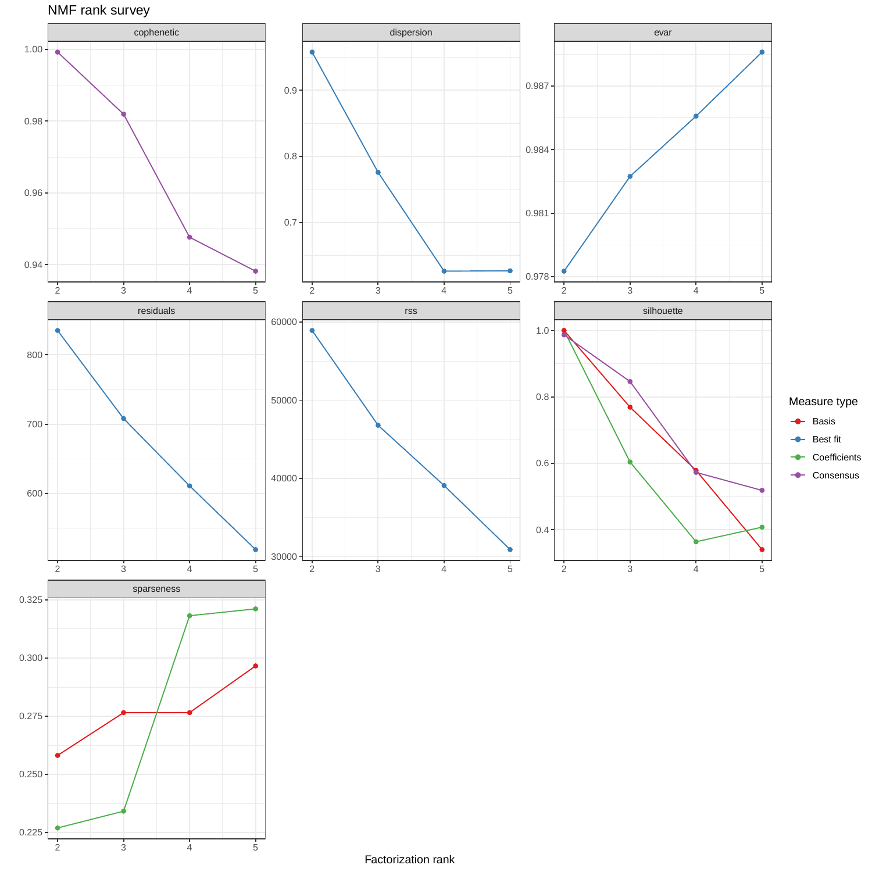



Factorization rank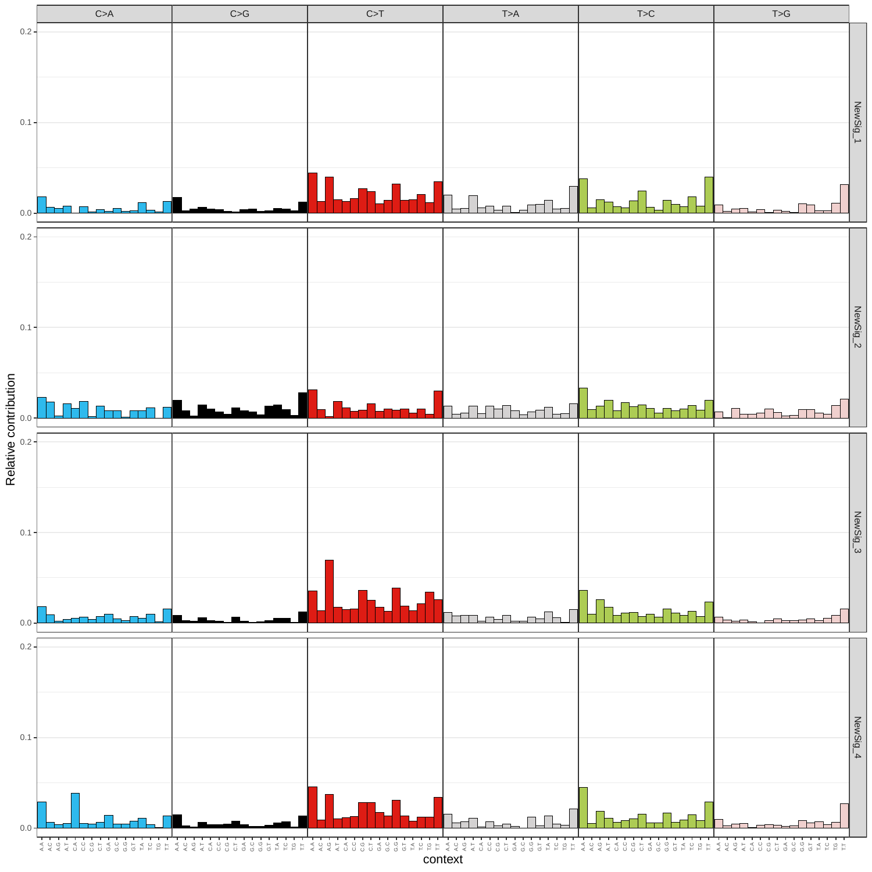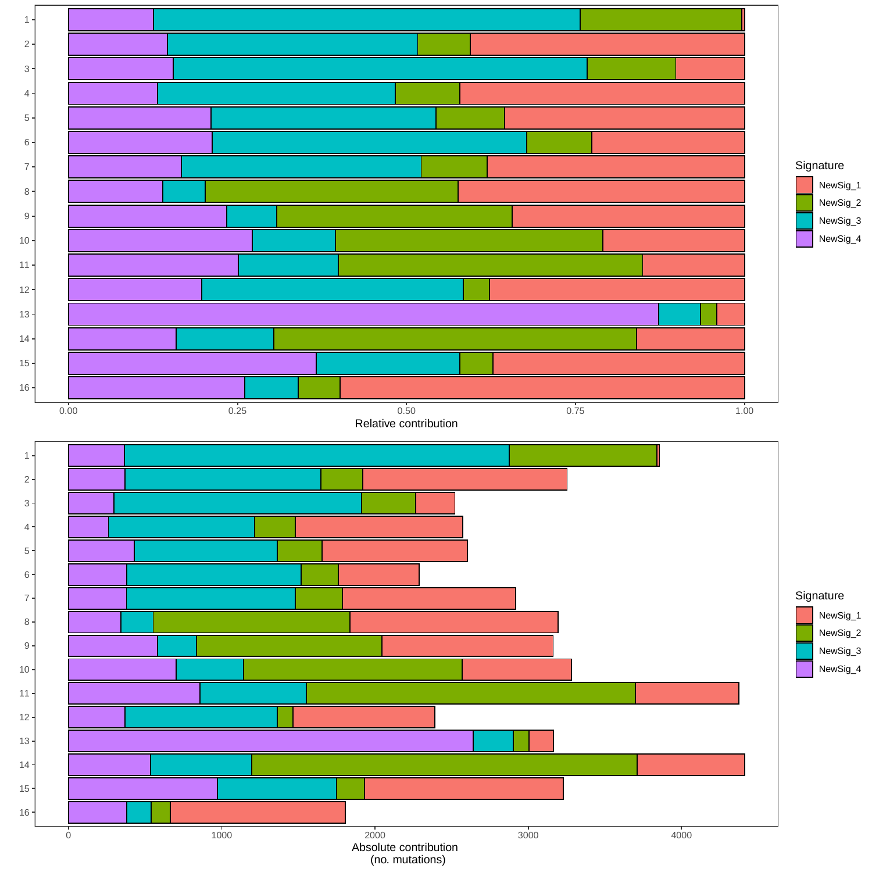